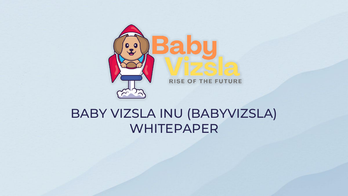

# BABY VIZSLA INU (BABYVIZSLA) WHITEPAPER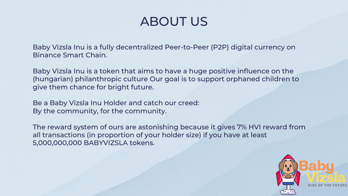### ABOUT US

Baby Vizsla Inu is a fully decentralized Peer-to-Peer (P2P) digital currency on Binance Smart Chain.

Baby Vizsla Inu is a token that aims to have a huge positive influence on the (hungarian) philanthropic culture Our goal is to support orphaned children to give them chance for bright future.

Be a Baby Vizsla Inu Holder and catch our creed: By the community, for the community.

The reward system of ours are astonishing because it gives 7% HVI reward from all transactions (in proportion of your holder size) if you have at least 5,000,000,000 BABYVIZSLA tokens.

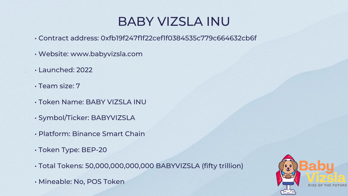# BABY VIZSLA INU

- Contract address: 0xfb19f247f1f22cef1f0384535c779c664632cb6f
- Website: www.babyvizsla.com
- Launched: 2022
- Team size: 7
- Token Name: BABY VIZSLA INU
- Symbol/Ticker: BABYVIZSLA
- Platform: Binance Smart Chain
- Token Type: BEP-20
- Total Tokens: 50,000,000,000,000 BABYVIZSLA (fifty trillion)
- Mineable: No, POS Token

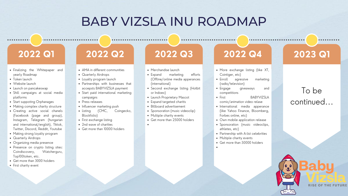### BABY VIZSLA INU ROADMAP

- Finalizing the Whitepaper and yearly Roadmap
- Token launch
- Website launch
- Launch on pancakeswap
- Shill campaigns at social media platforms
- Start suppoting Orphanages
- Making complex charity structure
- Creating active social chanels (Facebook (page and group), Instagram, Telegram (hungarian and international/english), Tiktok, Twitter, Discord, Reddit, Youtube
- Making strong loyalty program
- Quarterly Airdrops
- Organizing media presence
- Presence on crypto listing sites: Coindiscovery, Watcherguru, Top100token, etc.
- Get more than 3000 holders
- First charity event

- AMA in different communities
- Quarterly Airdrops
- Loyalty program launch
- Partnerships with businesses that accepsts BABYVIZSLA payment
- Start paid international marketing campaigns
- Press releases
- Influencer marketing push
- Listing (CMC, Coingecko, Blockfolio)
- First exchange listing
- 2nd wave of charities
- Get more than 10000 holders

### **2022 Q1**

- Merchandise launch
- Expand marketing efforts (Offline/online media apperances (international)
- Second exchange listing (Hotbit or Indoex)
- Launch Proprietary Mascot
- Expand targeted charitis
- Billboard advertisement
- Sponsoration (music videoclip)
- Multiple charity events
- Get more than 25000 holders

### **2022 Q2 2022 Q3 2022 Q4 2023 Q1**

### To be continued...



- More exchange listing (like XT, Cointiger, etc)
- Enroll agressive marketing (radio/television)
- Engage giveaways and competitions
- First **BABYVIZSLA** comic/animation video relase • International media apperance (like Yahoo Finance, Bloomberg,
- Forbes online, etc) • Own mobile application release
- Sponsoration (music videoclips, athletes, etc)
- Partnership with A-list celebrities • Multiple charity events
- Get more than 50000 holders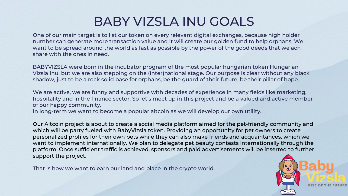# BABY VIZSLA INU GOALS

One of our main target is to list our token on every relevant digital exchanges, because high holder number can generate more transaction value and it will create our golden fund to help orphans. We want to be spread around the world as fast as possible by the power of the good deeds that we acn share with the ones in need.

BABYVIZSLA were born in the incubator program of the most popular hungarian token Hungarian Vizsla Inu, but we are also stepping on the (inter)national stage. Our purpose is clear without any black shadow, just to be a rock solid base for orphans, be the guard of their future, be their pillar of hope.

We are active, we are funny and supportive with decades of experience in many fields like marketing, hospitality and in the finance sector. So let's meet up in this project and be a valued and active member of our happy community.

In long-term we want to become a popular altcoin as we will develop our own utility.

Our Altcoin project is about to create a social media platform aimed for the pet-friendly community and which will be party fueled with BabyVizsla token. Providing an opportunity for pet owners to create personalized profiles for their own pets while they can also make friends and acquaintances, which we want to implement internationally. We plan to delegate pet beauty contests internationally through the platform. Once sufficient traffic is achieved, sponsors and paid advertisements will be inserted to further support the project.

That is how we want to earn our land and place in the crypto world.

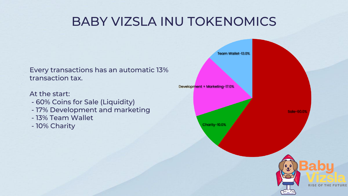# BABY VIZSLA INU TOKENOMICS

Every transactions has an automatic 13% transaction tax.

At the start:

- 60% Coins for Sale (Liquidity)
- 17% Development and marketing
- 13% Team Wallet
- 10% Charity

Development + Marketing-17.0%

Team Wallet-13.0%

**Sale-60.0%** 

Charity-10.0%

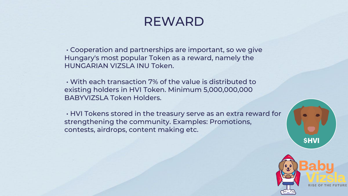### REWARD

• Cooperation and partnerships are important, so we give Hungary's most popular Token as a reward, namely the HUNGARIAN VIZSLA INU Token.

• With each transaction 7% of the value is distributed to existing holders in HVI Token. Minimum 5,000,000,000 BABYVIZSLA Token Holders.

• HVI Tokens stored in the treasury serve as an extra reward for strengthening the community. Examples: Promotions, contests, airdrops, content making etc.